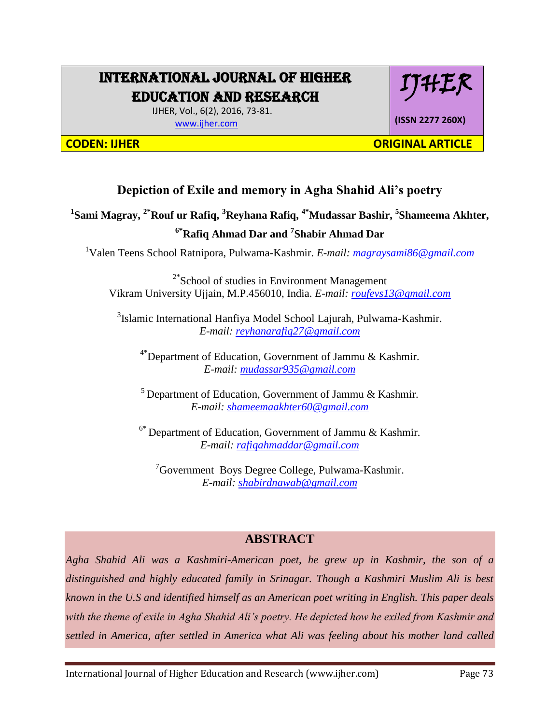# INTERNATIONAL JOURNAL OF HIGHER EDUCATION AND RESEARCH

IJHER

 IJHER, Vol., 6(2), 2016, 73-81. [www.ijher.com](http://www.ijher.com/)

**(ISSN 2277 260X)**

**CODEN: IJHER ORIGINAL ARTICLE** 

## **Depiction of Exile and memory in Agha Shahid Ali's poetry**

**1 Sami Magray, 2\*Rouf ur Rafiq, <sup>3</sup>Reyhana Rafiq, 4\*Mudassar Bashir, <sup>5</sup> Shameema Akhter, 6\*Rafiq Ahmad Dar and <sup>7</sup> Shabir Ahmad Dar**

<sup>1</sup>Valen Teens School Ratnipora, Pulwama-Kashmir. *E-mail: [magraysami86@gmail.com](mailto:magraysami86@gmail.com)*

<sup>2\*</sup>School of studies in Environment Management Vikram University Ujjain, M.P.456010, India. *E-mail: [roufevs13@gmail.com](mailto:roufevs13@gmail.com)*

<sup>3</sup>Islamic International Hanfiya Model School Lajurah, Pulwama-Kashmir. *E-mail: [reyhanarafiq27@gmail.com](mailto:reyhanarafiq27@gmail.com)*

<sup>4\*</sup>Department of Education, Government of Jammu & Kashmir. *E-mail: [mudassar935@gmail.com](mailto:mudassar0935@gmail.com)*

<sup>5</sup> Department of Education, Government of Jammu  $\&$  Kashmir. *E-mail: [shameemaakhter60@gmail.com](mailto:shameemaakhter60@gmail.com)*

6\* Department of Education, Government of Jammu & Kashmir. *E-mail: [rafiqahmaddar@gmail.com](mailto:rafiqahmaddar@gmail.com)*

 ${}^{7}$ Government Boys Degree College, Pulwama-Kashmir. *E-mail: [shabirdnawab@gmail.com](mailto:shabirdnawab@gmail.com)*

### **ABSTRACT**

*Agha Shahid Ali was a Kashmiri-American poet, he grew up in Kashmir, the son of a distinguished and highly educated family in Srinagar. Though a Kashmiri Muslim Ali is best known in the U.S and identified himself as an American poet writing in English. This paper deals with the theme of exile in Agha Shahid Ali's poetry. He depicted how he exiled from Kashmir and settled in America, after settled in America what Ali was feeling about his mother land called*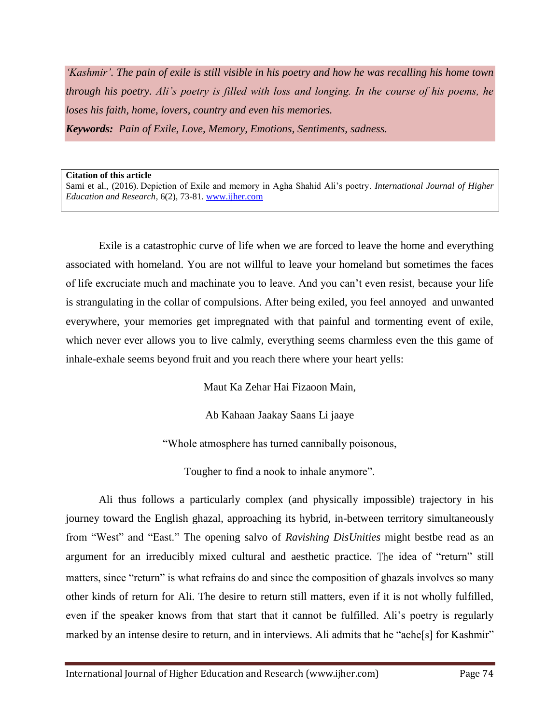*'Kashmir'. The pain of exile is still visible in his poetry and how he was recalling his home town through his poetry. Ali's poetry is filled with loss and longing. In the course of his poems, he loses his faith, home, lovers, country and even his memories. Keywords: Pain of Exile, Love, Memory, Emotions, Sentiments, sadness.*

#### **Citation of this article**

Sami et al., (2016). Depiction of Exile and memory in Agha Shahid Ali's poetry. *International Journal of Higher Education and Research*, 6(2), 73-81. [www.ijher.com](http://www.ijher.com/)

Exile is a catastrophic curve of life when we are forced to leave the home and everything associated with homeland. You are not willful to leave your homeland but sometimes the faces of life excruciate much and machinate you to leave. And you can't even resist, because your life is strangulating in the collar of compulsions. After being exiled, you feel annoyed and unwanted everywhere, your memories get impregnated with that painful and tormenting event of exile, which never ever allows you to live calmly, everything seems charmless even the this game of inhale-exhale seems beyond fruit and you reach there where your heart yells:

Maut Ka Zehar Hai Fizaoon Main,

Ab Kahaan Jaakay Saans Li jaaye

"Whole atmosphere has turned cannibally poisonous,

Tougher to find a nook to inhale anymore".

Ali thus follows a particularly complex (and physically impossible) trajectory in his journey toward the English ghazal, approaching its hybrid, in-between territory simultaneously from "West" and "East." The opening salvo of *Ravishing DisUnities* might bestbe read as an argument for an irreducibly mixed cultural and aesthetic practice. The idea of "return" still matters, since "return" is what refrains do and since the composition of ghazals involves so many other kinds of return for Ali. The desire to return still matters, even if it is not wholly fulfilled, even if the speaker knows from that start that it cannot be fulfilled. Ali's poetry is regularly marked by an intense desire to return, and in interviews. Ali admits that he "ache[s] for Kashmir"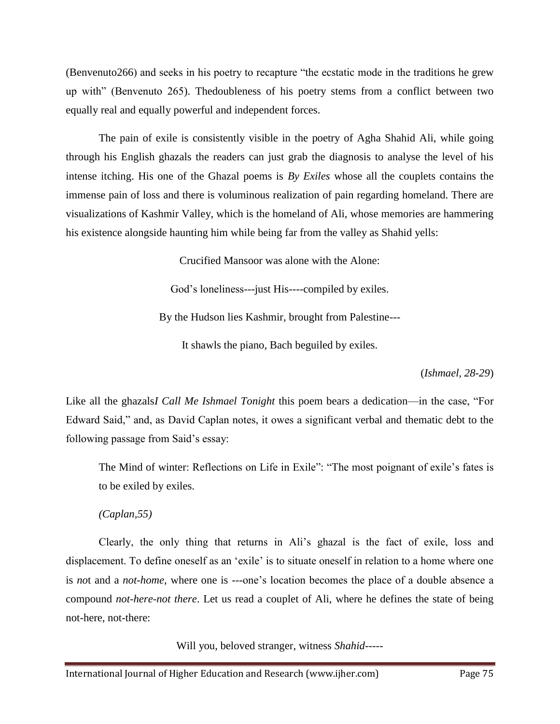(Benvenuto266) and seeks in his poetry to recapture "the ecstatic mode in the traditions he grew up with" (Benvenuto 265). Thedoubleness of his poetry stems from a conflict between two equally real and equally powerful and independent forces.

The pain of exile is consistently visible in the poetry of Agha Shahid Ali, while going through his English ghazals the readers can just grab the diagnosis to analyse the level of his intense itching. His one of the Ghazal poems is *By Exiles* whose all the couplets contains the immense pain of loss and there is voluminous realization of pain regarding homeland. There are visualizations of Kashmir Valley, which is the homeland of Ali, whose memories are hammering his existence alongside haunting him while being far from the valley as Shahid yells:

Crucified Mansoor was alone with the Alone:

God's loneliness---just His----compiled by exiles.

By the Hudson lies Kashmir, brought from Palestine---

It shawls the piano, Bach beguiled by exiles.

(*Ishmael, 28-29*)

Like all the ghazals*I Call Me Ishmael Tonight* this poem bears a dedication—in the case, "For Edward Said," and, as David Caplan notes, it owes a significant verbal and thematic debt to the following passage from Said's essay:

The Mind of winter: Reflections on Life in Exile": "The most poignant of exile's fates is to be exiled by exiles.

*(Caplan,55)*

Clearly, the only thing that returns in Ali's ghazal is the fact of exile, loss and displacement. To define oneself as an 'exile' is to situate oneself in relation to a home where one is *no*t and a *not-home*, where one is ---one's location becomes the place of a double absence a compound *not-here-not there*. Let us read a couplet of Ali, where he defines the state of being not-here, not-there:

Will you, beloved stranger, witness *Shahid*-----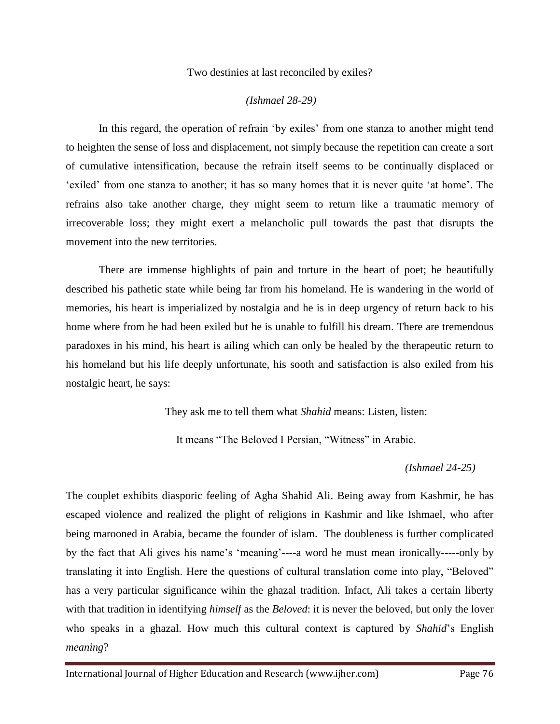#### Two destinies at last reconciled by exiles?

#### *(Ishmael 28-29)*

In this regard, the operation of refrain 'by exiles' from one stanza to another might tend to heighten the sense of loss and displacement, not simply because the repetition can create a sort of cumulative intensification, because the refrain itself seems to be continually displaced or 'exiled' from one stanza to another; it has so many homes that it is never quite 'at home'. The refrains also take another charge, they might seem to return like a traumatic memory of irrecoverable loss; they might exert a melancholic pull towards the past that disrupts the movement into the new territories.

There are immense highlights of pain and torture in the heart of poet; he beautifully described his pathetic state while being far from his homeland. He is wandering in the world of memories, his heart is imperialized by nostalgia and he is in deep urgency of return back to his home where from he had been exiled but he is unable to fulfill his dream. There are tremendous paradoxes in his mind, his heart is ailing which can only be healed by the therapeutic return to his homeland but his life deeply unfortunate, his sooth and satisfaction is also exiled from his nostalgic heart, he says:

They ask me to tell them what *Shahid* means: Listen, listen:

It means "The Beloved I Persian, "Witness" in Arabic.

 *(Ishmael 24-25)*

The couplet exhibits diasporic feeling of Agha Shahid Ali. Being away from Kashmir, he has escaped violence and realized the plight of religions in Kashmir and like Ishmael, who after being marooned in Arabia, became the founder of islam. The doubleness is further complicated by the fact that Ali gives his name's 'meaning'----a word he must mean ironically-----only by translating it into English. Here the questions of cultural translation come into play, "Beloved" has a very particular significance wihin the ghazal tradition. Infact, Ali takes a certain liberty with that tradition in identifying *himself* as the *Beloved*: it is never the beloved, but only the lover who speaks in a ghazal. How much this cultural context is captured by *Shahid*'s English *meaning*?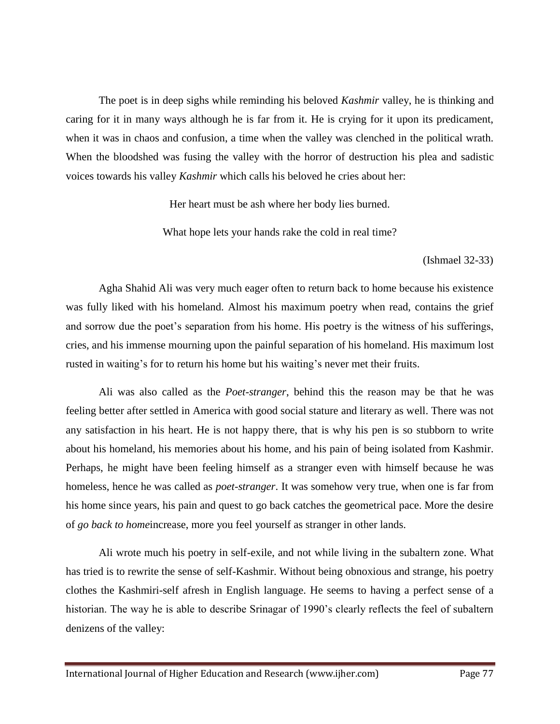The poet is in deep sighs while reminding his beloved *Kashmir* valley, he is thinking and caring for it in many ways although he is far from it. He is crying for it upon its predicament, when it was in chaos and confusion, a time when the valley was clenched in the political wrath. When the bloodshed was fusing the valley with the horror of destruction his plea and sadistic voices towards his valley *Kashmir* which calls his beloved he cries about her:

Her heart must be ash where her body lies burned.

What hope lets your hands rake the cold in real time?

(Ishmael 32-33)

Agha Shahid Ali was very much eager often to return back to home because his existence was fully liked with his homeland. Almost his maximum poetry when read, contains the grief and sorrow due the poet's separation from his home. His poetry is the witness of his sufferings, cries, and his immense mourning upon the painful separation of his homeland. His maximum lost rusted in waiting's for to return his home but his waiting's never met their fruits.

Ali was also called as the *Poet-stranger*, behind this the reason may be that he was feeling better after settled in America with good social stature and literary as well. There was not any satisfaction in his heart. He is not happy there, that is why his pen is so stubborn to write about his homeland, his memories about his home, and his pain of being isolated from Kashmir. Perhaps, he might have been feeling himself as a stranger even with himself because he was homeless, hence he was called as *poet-stranger*. It was somehow very true, when one is far from his home since years, his pain and quest to go back catches the geometrical pace. More the desire of *go back to home*increase, more you feel yourself as stranger in other lands.

Ali wrote much his poetry in self-exile, and not while living in the subaltern zone. What has tried is to rewrite the sense of self-Kashmir. Without being obnoxious and strange, his poetry clothes the Kashmiri-self afresh in English language. He seems to having a perfect sense of a historian. The way he is able to describe Srinagar of 1990's clearly reflects the feel of subaltern denizens of the valley: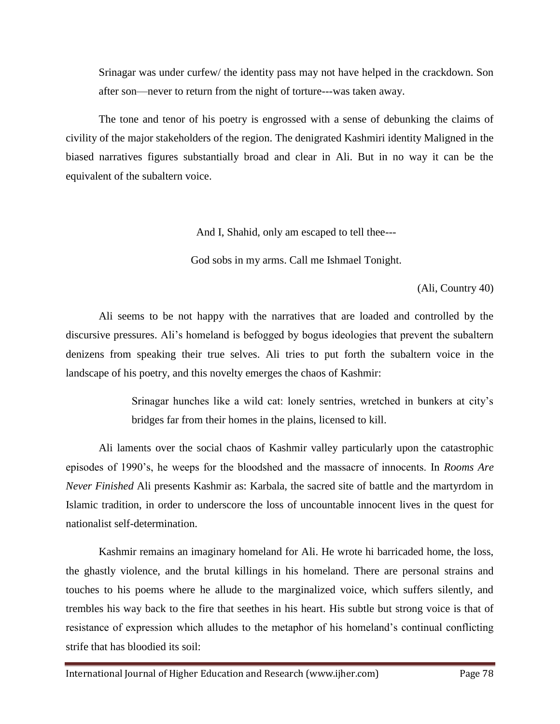Srinagar was under curfew/ the identity pass may not have helped in the crackdown. Son after son—never to return from the night of torture---was taken away.

The tone and tenor of his poetry is engrossed with a sense of debunking the claims of civility of the major stakeholders of the region. The denigrated Kashmiri identity Maligned in the biased narratives figures substantially broad and clear in Ali. But in no way it can be the equivalent of the subaltern voice.

And I, Shahid, only am escaped to tell thee---

God sobs in my arms. Call me Ishmael Tonight.

(Ali, Country 40)

Ali seems to be not happy with the narratives that are loaded and controlled by the discursive pressures. Ali's homeland is befogged by bogus ideologies that prevent the subaltern denizens from speaking their true selves. Ali tries to put forth the subaltern voice in the landscape of his poetry, and this novelty emerges the chaos of Kashmir:

> Srinagar hunches like a wild cat: lonely sentries, wretched in bunkers at city's bridges far from their homes in the plains, licensed to kill.

Ali laments over the social chaos of Kashmir valley particularly upon the catastrophic episodes of 1990's, he weeps for the bloodshed and the massacre of innocents. In *Rooms Are Never Finished* Ali presents Kashmir as: Karbala, the sacred site of battle and the martyrdom in Islamic tradition, in order to underscore the loss of uncountable innocent lives in the quest for nationalist self-determination.

Kashmir remains an imaginary homeland for Ali. He wrote hi barricaded home, the loss, the ghastly violence, and the brutal killings in his homeland. There are personal strains and touches to his poems where he allude to the marginalized voice, which suffers silently, and trembles his way back to the fire that seethes in his heart. His subtle but strong voice is that of resistance of expression which alludes to the metaphor of his homeland's continual conflicting strife that has bloodied its soil: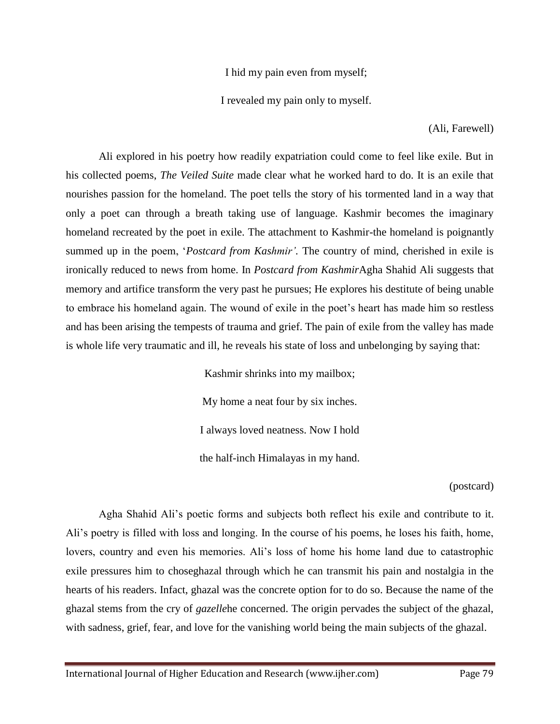I hid my pain even from myself;

I revealed my pain only to myself.

(Ali, Farewell)

Ali explored in his poetry how readily expatriation could come to feel like exile. But in his collected poems, *The Veiled Suite* made clear what he worked hard to do. It is an exile that nourishes passion for the homeland. The poet tells the story of his tormented land in a way that only a poet can through a breath taking use of language. Kashmir becomes the imaginary homeland recreated by the poet in exile. The attachment to Kashmir-the homeland is poignantly summed up in the poem, '*Postcard from Kashmir'.* The country of mind, cherished in exile is ironically reduced to news from home. In *Postcard from Kashmir*Agha Shahid Ali suggests that memory and artifice transform the very past he pursues; He explores his destitute of being unable to embrace his homeland again. The wound of exile in the poet's heart has made him so restless and has been arising the tempests of trauma and grief. The pain of exile from the valley has made is whole life very traumatic and ill, he reveals his state of loss and unbelonging by saying that:

> Kashmir shrinks into my mailbox; My home a neat four by six inches. I always loved neatness. Now I hold the half-inch Himalayas in my hand.

> > (postcard)

Agha Shahid Ali's poetic forms and subjects both reflect his exile and contribute to it. Ali's poetry is filled with loss and longing. In the course of his poems, he loses his faith, home, lovers, country and even his memories. Ali's loss of home his home land due to catastrophic exile pressures him to choseghazal through which he can transmit his pain and nostalgia in the hearts of his readers. Infact, ghazal was the concrete option for to do so. Because the name of the ghazal stems from the cry of *gazelle*he concerned. The origin pervades the subject of the ghazal, with sadness, grief, fear, and love for the vanishing world being the main subjects of the ghazal.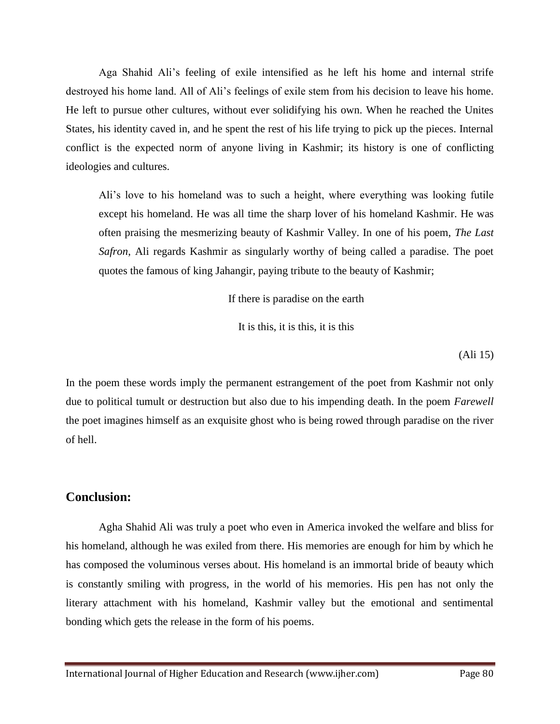Aga Shahid Ali's feeling of exile intensified as he left his home and internal strife destroyed his home land. All of Ali's feelings of exile stem from his decision to leave his home. He left to pursue other cultures, without ever solidifying his own. When he reached the Unites States, his identity caved in, and he spent the rest of his life trying to pick up the pieces. Internal conflict is the expected norm of anyone living in Kashmir; its history is one of conflicting ideologies and cultures.

Ali's love to his homeland was to such a height, where everything was looking futile except his homeland. He was all time the sharp lover of his homeland Kashmir. He was often praising the mesmerizing beauty of Kashmir Valley. In one of his poem, *The Last Safron*, Ali regards Kashmir as singularly worthy of being called a paradise. The poet quotes the famous of king Jahangir, paying tribute to the beauty of Kashmir;

If there is paradise on the earth

It is this, it is this, it is this

(Ali 15)

In the poem these words imply the permanent estrangement of the poet from Kashmir not only due to political tumult or destruction but also due to his impending death. In the poem *Farewell* the poet imagines himself as an exquisite ghost who is being rowed through paradise on the river of hell.

### **Conclusion:**

Agha Shahid Ali was truly a poet who even in America invoked the welfare and bliss for his homeland, although he was exiled from there. His memories are enough for him by which he has composed the voluminous verses about. His homeland is an immortal bride of beauty which is constantly smiling with progress, in the world of his memories. His pen has not only the literary attachment with his homeland, Kashmir valley but the emotional and sentimental bonding which gets the release in the form of his poems.